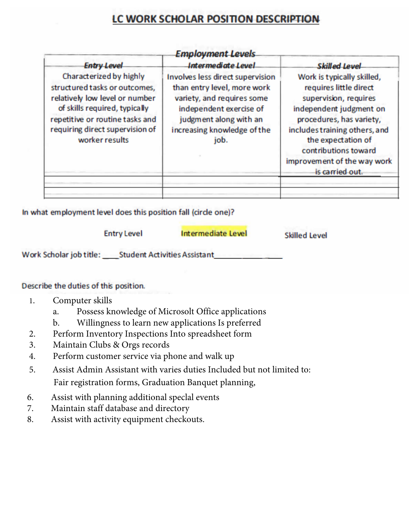## LC WORK SCHOLAR POSITION DESCRIPTION

| <b>Entry Level</b>                                                                                                                                                                                                  | <b>Employment Levels</b><br><b>Intermediate Level</b>                                                                                                                                     |                                                                                                                                                                                                                                                                                               |
|---------------------------------------------------------------------------------------------------------------------------------------------------------------------------------------------------------------------|-------------------------------------------------------------------------------------------------------------------------------------------------------------------------------------------|-----------------------------------------------------------------------------------------------------------------------------------------------------------------------------------------------------------------------------------------------------------------------------------------------|
| Characterized by highly<br>structured tasks or outcomes,<br>relatively low level or number<br>of skills required, typically<br>repetitive or routine tasks and<br>requiring direct supervision of<br>worker results | Involves less direct supervision<br>than entry level, more work<br>variety, and requires some<br>independent exercise of<br>judgment along with an<br>increasing knowledge of the<br>job. | <b>Skilled Level</b><br>Work is typically skilled,<br>requires little direct<br>supervision, requires<br>independent judgment on<br>procedures, has variety,<br>includes training others, and<br>the expectation of<br>contributions toward<br>improvement of the way work<br>is carried out. |

In what employment level does this position fall (circle one)?

|                         | <b>Entry Level</b>                  | <b>Intermediate Level</b> | <b>Skilled Level</b> |
|-------------------------|-------------------------------------|---------------------------|----------------------|
| Work Scholar job title: | <b>Student Activities Assistant</b> |                           |                      |

## Describe the duties of this position.

- 1. Computer skills
	- a. Possess knowledge of Microsolt Office applications
	- b. Willingness to learn new applications Is preferred
- 2. Perform Inventory Inspections Into spreadsheet form
- 3. Maintain Clubs & Orgs records
- 4. Perform customer service via phone and walk up
- 5. Assist Admin Assistant with varies duties Included but not limited to: Fair registration forms, Graduation Banquet planning,
- 6. Assist with planning additional speclal events
- 7. Maintain staff database and directory
- 8. Assist with activity equipment checkouts.